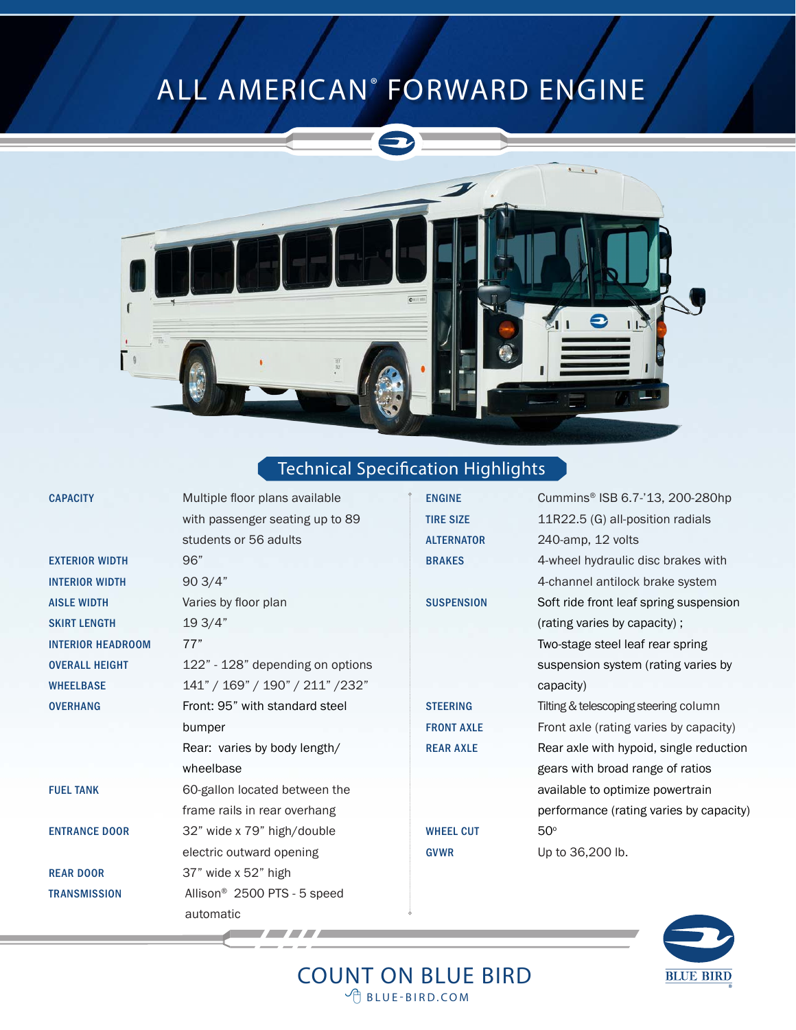## ALL AMERICAN® FORWARD ENGINE



### Technical Specification Highlights

| <b>CAPACITY</b>          | Multiple floor plans available          |  |
|--------------------------|-----------------------------------------|--|
|                          | with passenger seating up to 89         |  |
|                          | students or 56 adults                   |  |
| <b>EXTERIOR WIDTH</b>    | 96"                                     |  |
| <b>INTERIOR WIDTH</b>    | 903/4"                                  |  |
| <b>AISLE WIDTH</b>       | Varies by floor plan                    |  |
| <b>SKIRT LENGTH</b>      | 19 3/4"                                 |  |
| <b>INTERIOR HEADROOM</b> | 77"                                     |  |
| <b>OVERALL HEIGHT</b>    | 122" - 128" depending on options        |  |
| <b>WHEELBASE</b>         | 141" / 169" / 190" / 211" / 232"        |  |
| <b>OVERHANG</b>          | Front: 95" with standard steel          |  |
|                          | bumper                                  |  |
|                          | Rear: varies by body length/            |  |
|                          | wheelbase                               |  |
| <b>FUEL TANK</b>         | 60-gallon located between the           |  |
|                          | frame rails in rear overhang            |  |
| <b>ENTRANCE DOOR</b>     | 32" wide x 79" high/double              |  |
|                          | electric outward opening                |  |
| <b>REAR DOOR</b>         | 37" wide x 52" high                     |  |
| <b>TRANSMISSION</b>      | Allison <sup>®</sup> 2500 PTS - 5 speed |  |
|                          | automatic                               |  |

ALTERNATOR 240-amp, 12 volts WHEEL CUT 50° GVWR Up to 36,200 lb.

ENGINE Cummins® ISB 6.7-'13, 200-280hp TIRE SIZE 11R22.5 (G) all-position radials BRAKES 4-wheel hydraulic disc brakes with 4-channel antilock brake system SUSPENSION Soft ride front leaf spring suspension (rating varies by capacity) ; Two-stage steel leaf rear spring suspension system (rating varies by capacity) STEERING Tilting & telescoping steering column FRONT AXLE Front axle (rating varies by capacity) REAR AXLE Rear axle with hypoid, single reduction gears with broad range of ratios available to optimize powertrain performance (rating varies by capacity)



 COUNT ON BLUE BIRD  $\sqrt{m}$  BLUE-BIRD.COM